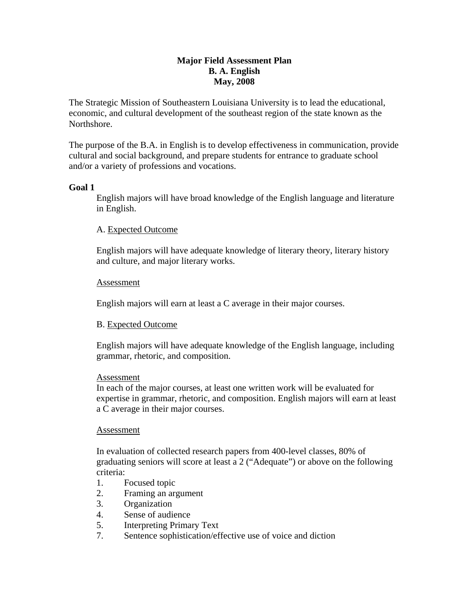# **Major Field Assessment Plan B. A. English May, 2008**

The Strategic Mission of Southeastern Louisiana University is to lead the educational, economic, and cultural development of the southeast region of the state known as the Northshore.

The purpose of the B.A. in English is to develop effectiveness in communication, provide cultural and social background, and prepare students for entrance to graduate school and/or a variety of professions and vocations.

## **Goal 1**

English majors will have broad knowledge of the English language and literature in English.

# A. Expected Outcome

English majors will have adequate knowledge of literary theory, literary history and culture, and major literary works.

## Assessment

English majors will earn at least a C average in their major courses.

## B. Expected Outcome

English majors will have adequate knowledge of the English language, including grammar, rhetoric, and composition.

## Assessment

In each of the major courses, at least one written work will be evaluated for expertise in grammar, rhetoric, and composition. English majors will earn at least a C average in their major courses.

## Assessment

In evaluation of collected research papers from 400-level classes, 80% of graduating seniors will score at least a 2 ("Adequate") or above on the following criteria:

- 1. Focused topic
- 2. Framing an argument
- 3. Organization
- 4. Sense of audience
- 5. Interpreting Primary Text
- 7. Sentence sophistication/effective use of voice and diction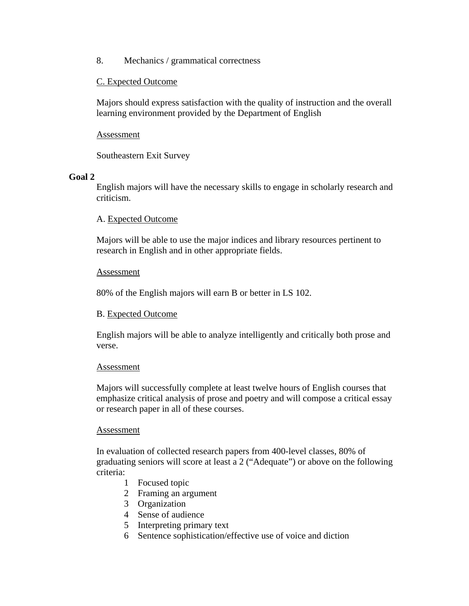8. Mechanics / grammatical correctness

# C. Expected Outcome

Majors should express satisfaction with the quality of instruction and the overall learning environment provided by the Department of English

Assessment

Southeastern Exit Survey

## **Goal 2**

English majors will have the necessary skills to engage in scholarly research and criticism.

## A. Expected Outcome

Majors will be able to use the major indices and library resources pertinent to research in English and in other appropriate fields.

#### Assessment

80% of the English majors will earn B or better in LS 102.

## B. Expected Outcome

English majors will be able to analyze intelligently and critically both prose and verse.

## Assessment

Majors will successfully complete at least twelve hours of English courses that emphasize critical analysis of prose and poetry and will compose a critical essay or research paper in all of these courses.

## Assessment

In evaluation of collected research papers from 400-level classes, 80% of graduating seniors will score at least a 2 ("Adequate") or above on the following criteria:

- 1 Focused topic
- 2 Framing an argument
- 3 Organization
- 4 Sense of audience
- 5 Interpreting primary text
- 6 Sentence sophistication/effective use of voice and diction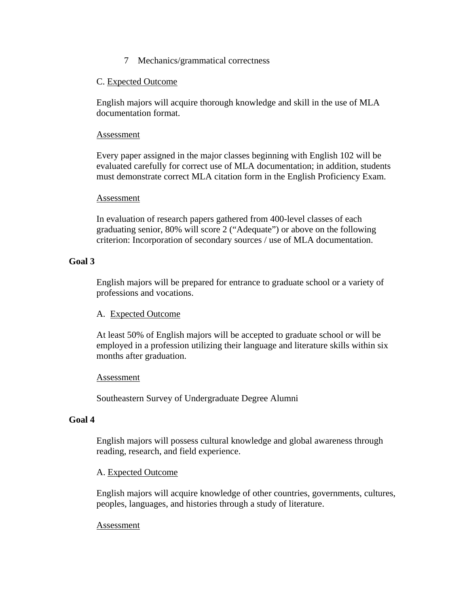7 Mechanics/grammatical correctness

# C. Expected Outcome

English majors will acquire thorough knowledge and skill in the use of MLA documentation format.

## Assessment

Every paper assigned in the major classes beginning with English 102 will be evaluated carefully for correct use of MLA documentation; in addition, students must demonstrate correct MLA citation form in the English Proficiency Exam.

#### **Assessment**

In evaluation of research papers gathered from 400-level classes of each graduating senior, 80% will score 2 ("Adequate") or above on the following criterion: Incorporation of secondary sources / use of MLA documentation.

## **Goal 3**

English majors will be prepared for entrance to graduate school or a variety of professions and vocations.

## A. Expected Outcome

At least 50% of English majors will be accepted to graduate school or will be employed in a profession utilizing their language and literature skills within six months after graduation.

## Assessment

Southeastern Survey of Undergraduate Degree Alumni

## **Goal 4**

English majors will possess cultural knowledge and global awareness through reading, research, and field experience.

## A. Expected Outcome

English majors will acquire knowledge of other countries, governments, cultures, peoples, languages, and histories through a study of literature.

## Assessment